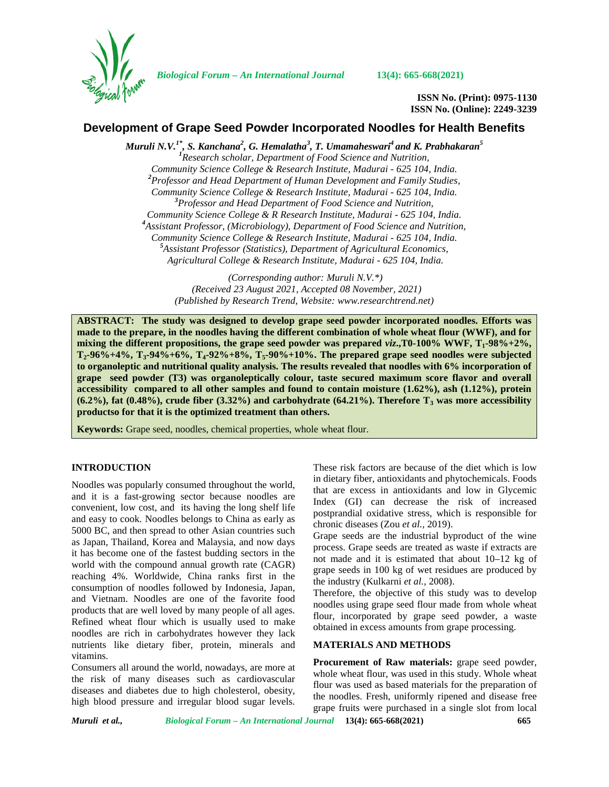

*Biological Forum – An International Journal* **13(4): 665-668(2021)**

**ISSN No. (Print): 0975-1130 ISSN No. (Online): 2249-3239**

# **Development of Grape Seed Powder Incorporated Noodles for Health Benefits**

*Muruli N.V.1\* , S. Kanchana<sup>2</sup> , G. Hemalatha<sup>3</sup> , T. Umamaheswari<sup>4</sup> and K. Prabhakaran<sup>5</sup> <sup>1</sup>Research scholar, Department of Food Science and Nutrition, Community Science College & Research Institute, Madurai - 625 104, India. <sup>2</sup>Professor and Head Department of Human Development and Family Studies, Community Science College & Research Institute, Madurai - 625 104, India. <sup>3</sup>Professor and Head Department of Food Science and Nutrition, Community Science College & R Research Institute, Madurai - 625 104, India. <sup>4</sup>Assistant Professor, (Microbiology), Department of Food Science and Nutrition, Community Science College & Research Institute, Madurai - 625 104, India. <sup>5</sup>Assistant Professor (Statistics), Department of Agricultural Economics, Agricultural College & Research Institute, Madurai - 625 104, India.*

> *(Corresponding author: Muruli N.V.\*) (Received 23 August 2021, Accepted 08 November, 2021) (Published by Research Trend, Website: [www.researchtrend.net\)](www.researchtrend.net)*

**ABSTRACT: The study was designed to develop grape seed powder incorporated noodles. Efforts was made to the prepare, in the noodles having the different combination of whole wheat flour (WWF), and for mixing the different propositions, the grape seed powder was prepared** *viz***.,T0-100% WWF, T1-98%+2%, T2-96%+4%, T3-94%+6%, T4-92%+8%, T5-90%+10%. The prepared grape seed noodles were subjected to organoleptic and nutritional quality analysis. The results revealed that noodles with 6% incorporation of grape seed powder (T3) was organoleptically colour, taste secured maximum score flavor and overall accessibility compared to all other samples and found to contain moisture (1.62%), ash (1.12%), protein (6.2%), fat (0.48%), crude fiber (3.32%) and carbohydrate (64.21%). Therefore T<sup>3</sup> was more accessibility productso for that it is the optimized treatment than others.**

**Keywords:** Grape seed, noodles, chemical properties, whole wheat flour.

# **INTRODUCTION**

Noodles was popularly consumed throughout the world, and it is a fast-growing sector because noodles are convenient, low cost, and its having the long shelf life and easy to cook. Noodles belongs to China as early as 5000 BC, and then spread to other Asian countries such as Japan, Thailand, Korea and Malaysia, and now days it has become one of the fastest budding sectors in the world with the compound annual growth rate (CAGR) reaching 4%. Worldwide, China ranks first in the consumption of noodles followed by Indonesia, Japan, and Vietnam. Noodles are one of the favorite food products that are well loved by many people of all ages. Refined wheat flour which is usually used to make noodles are rich in carbohydrates however they lack nutrients like dietary fiber, protein, minerals and vitamins.

Consumers all around the world, nowadays, are more at the risk of many diseases such as cardiovascular diseases and diabetes due to high cholesterol, obesity, high blood pressure and irregular blood sugar levels. These risk factors are because of the diet which is low in dietary fiber, antioxidants and phytochemicals. Foods that are excess in antioxidants and low in Glycemic Index (GI) can decrease the risk of increased postprandial oxidative stress, which is responsible for chronic diseases (Zou *et al.,* 2019).

Grape seeds are the industrial byproduct of the wine process. Grape seeds are treated as waste if extracts are not made and it is estimated that about 10–12 kg of grape seeds in 100 kg of wet residues are produced by the industry (Kulkarni *et al.,* 2008).

Therefore, the objective of this study was to develop noodles using grape seed flour made from whole wheat flour, incorporated by grape seed powder, a waste obtained in excess amounts from grape processing.

## **MATERIALS AND METHODS**

**Procurement of Raw materials:** grape seed powder, whole wheat flour, was used in this study. Whole wheat flour was used as based materials for the preparation of the noodles. Fresh, uniformly ripened and disease free grape fruits were purchased in a single slot from local

*Muruli et al., Biological Forum – An International Journal* **13(4): 665-668(2021) 665**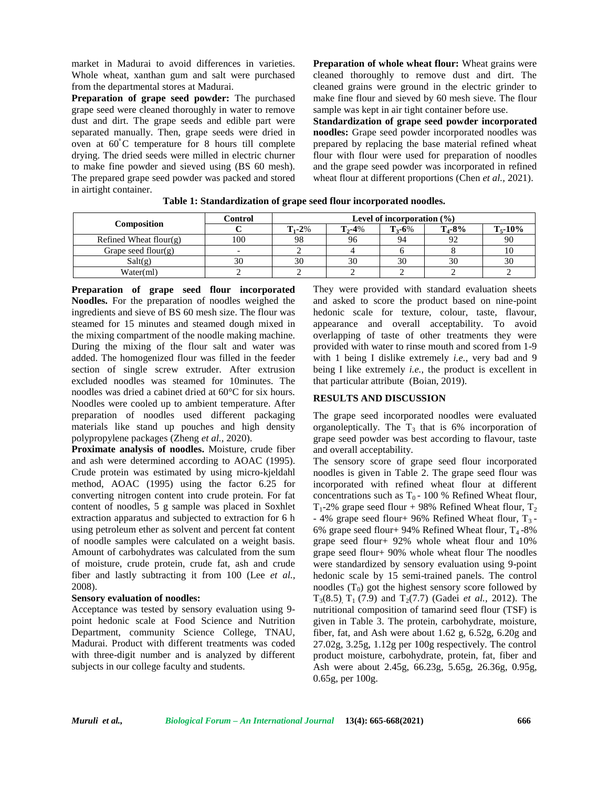market in Madurai to avoid differences in varieties. Whole wheat, xanthan gum and salt were purchased from the departmental stores at Madurai.

**Preparation of grape seed powder:** The purchased grape seed were cleaned thoroughly in water to remove dust and dirt. The grape seeds and edible part were separated manually. Then, grape seeds were dried in oven at 60˚C temperature for 8 hours till complete drying. The dried seeds were milled in electric churner to make fine powder and sieved using (BS 60 mesh). The prepared grape seed powder was packed and stored in airtight container.

**Preparation of whole wheat flour:** Wheat grains were cleaned thoroughly to remove dust and dirt. The cleaned grains were ground in the electric grinder to make fine flour and sieved by 60 mesh sieve. The flour sample was kept in air tight container before use.

**Standardization of grape seed powder incorporated noodles:** Grape seed powder incorporated noodles was prepared by replacing the base material refined wheat flour with flour were used for preparation of noodles and the grape seed powder was incorporated in refined wheat flour at different proportions (Chen *et al.,* 2021).

|                        | Control | Level of incorporation $(\% )$ |                                |               |              |    |
|------------------------|---------|--------------------------------|--------------------------------|---------------|--------------|----|
| Composition            |         | $T_{1} - 2\%$                  | $T_{3} - 6\%$<br>$T_{2} - 4\%$ | $T_{4} - 8\%$ | $T_{5}$ -10% |    |
| Refined Wheat flour(g) | 100     | 98                             | 96                             | 94            |              | 90 |
| Grape seed flour(g)    |         |                                |                                |               |              |    |
| Salt(g)                | 30      | 30                             | 30                             | 30            | 30           | 30 |
| Water(ml)              |         |                                |                                |               |              |    |

**Table 1: Standardization of grape seed flour incorporated noodles.**

**Preparation of grape seed flour incorporated Noodles.** For the preparation of noodles weighed the ingredients and sieve of BS 60 mesh size. The flour was steamed for 15 minutes and steamed dough mixed in the mixing compartment of the noodle making machine. During the mixing of the flour salt and water was added. The homogenized flour was filled in the feeder section of single screw extruder. After extrusion excluded noodles was steamed for 10minutes. The noodles was dried a cabinet dried at 60°C for six hours. Noodles were cooled up to ambient temperature. After preparation of noodles used different packaging materials like stand up pouches and high density polypropylene packages (Zheng *et al.,* 2020).

**Proximate analysis of noodles.** Moisture, crude fiber and ash were determined according to AOAC (1995). Crude protein was estimated by using micro-kjeldahl method, AOAC (1995) using the factor 6.25 for converting nitrogen content into crude protein. For fat content of noodles, 5 g sample was placed in Soxhlet extraction apparatus and subjected to extraction for 6 h using petroleum ether as solvent and percent fat content of noodle samples were calculated on a weight basis. Amount of carbohydrates was calculated from the sum of moisture, crude protein, crude fat, ash and crude fiber and lastly subtracting it from 100 (Lee *et al.,* 2008).

## **Sensory evaluation of noodles:**

Acceptance was tested by sensory evaluation using 9 point hedonic scale at Food Science and Nutrition Department, community Science College, TNAU, Madurai. Product with different treatments was coded with three-digit number and is analyzed by different subjects in our college faculty and students.

They were provided with standard evaluation sheets and asked to score the product based on nine-point hedonic scale for texture, colour, taste, flavour, appearance and overall acceptability. To avoid overlapping of taste of other treatments they were provided with water to rinse mouth and scored from 1-9 with 1 being I dislike extremely *i.e.*, very bad and 9 being I like extremely *i.e.*, the product is excellent in that particular attribute (Boian, 2019).

## **RESULTS AND DISCUSSION**

The grape seed incorporated noodles were evaluated organoleptically. The  $T_3$  that is 6% incorporation of grape seed powder was best according to flavour, taste and overall acceptability.

The sensory score of grape seed flour incorporated noodles is given in Table 2. The grape seed flour was incorporated with refined wheat flour at different concentrations such as  $T_0$  - 100 % Refined Wheat flour,  $T_1$ -2% grape seed flour + 98% Refined Wheat flour,  $T_2$ - 4% grape seed flour+ 96% Refined Wheat flour,  $T_3$ -6% grape seed flour+ 94% Refined Wheat flour,  $T_4$ -8% grape seed flour+ 92% whole wheat flour and 10% grape seed flour+ 90% whole wheat flour The noodles were standardized by sensory evaluation using 9-point hedonic scale by 15 semi-trained panels. The control noodles  $(T_0)$  got the highest sensory score followed by  $T_3(8.5)$ ,  $T_1(7.9)$  and  $T_2(7.7)$  (Gadei *et al.*, 2012). The nutritional composition of tamarind seed flour (TSF) is given in Table 3. The protein, carbohydrate, moisture, fiber, fat, and Ash were about 1.62 g, 6.52g, 6.20g and 27.02g, 3.25g, 1.12g per 100g respectively. The control product moisture, carbohydrate, protein, fat, fiber and Ash were about 2.45g, 66.23g, 5.65g, 26.36g, 0.95g, 0.65g, per 100g.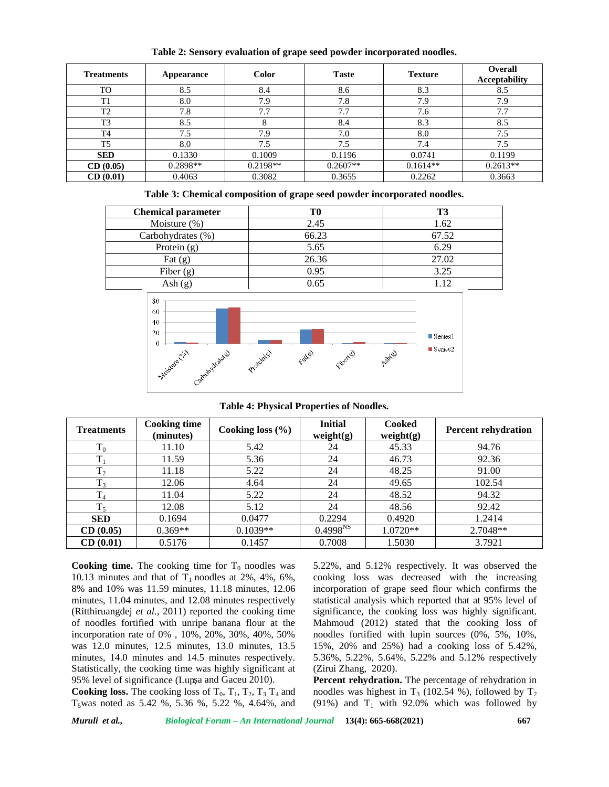| <b>Treatments</b> | Appearance | <b>Color</b> | <b>Taste</b> | <b>Texture</b> | <b>Overall</b><br><b>Acceptability</b> |
|-------------------|------------|--------------|--------------|----------------|----------------------------------------|
| TO                | 8.5        | 8.4          | 8.6          | 8.3            | 8.5                                    |
| T1                | 8.0        | 7.9          | 7.8          | 7.9            | 7.9                                    |
| T <sub>2</sub>    | 7.8        | 7.7          | 7.7          | 7.6            | 7.7                                    |
| T <sub>3</sub>    | 8.5        |              | 8.4          | 8.3            | 8.5                                    |
| T <sub>4</sub>    | 7.5        | 7.9          | 7.0          | 8.0            | 7.5                                    |
| T5                | 8.0        | 7.5          | 7.5          | 7.4            | 7.5                                    |
| <b>SED</b>        | 0.1330     | 0.1009       | 0.1196       | 0.0741         | 0.1199                                 |
| CD(0.05)          | $0.2898**$ | $0.2198**$   | $0.2607**$   | $0.1614**$     | $0.2613**$                             |
| CD(0.01)          | 0.4063     | 0.3082       | 0.3655       | 0.2262         | 0.3663                                 |

**Table 2: Sensory evaluation of grape seed powder incorporated noodles.**

**Table 3: Chemical composition of grape seed powder incorporated noodles.**

| <b>Chemical parameter</b> |       |       |
|---------------------------|-------|-------|
| Moisture (%)              | 2.45  | 1.62  |
| Carbohydrates (%)         | 66.23 | 67.52 |
| Protein $(g)$             | 5.65  | 6.29  |
| Fat $(g)$                 | 26.36 | 27.02 |
| Fiber $(g)$               | 0.95  | 3.25  |
| $\text{Ash}(\text{g})$    | 0.65  | 1.12  |
|                           |       |       |



| <b>Treatments</b>            | <b>Cooking time</b><br>(minutes) | Cooking loss $(\% )$ | <b>Initial</b><br>weight(g) | <b>Cooked</b><br>weight(g) | <b>Percent rehydration</b> |
|------------------------------|----------------------------------|----------------------|-----------------------------|----------------------------|----------------------------|
| $T_0$                        | 11.10                            | 5.42                 | 24                          | 45.33                      | 94.76                      |
| $\mathbf{T}$                 | 11.59                            | 5.36                 | 24                          | 46.73                      | 92.36                      |
| $\mathbf{T}$<br>$\mathbf{1}$ | 11.18                            | 5.22                 | 24                          | 48.25                      | 91.00                      |
| $T_3$                        | 12.06                            | 4.64                 | 24                          | 49.65                      | 102.54                     |
| $\mathbf{T}$<br>14           | 11.04                            | 5.22                 | 24                          | 48.52                      | 94.32                      |
| $\mathbf{T}$                 | 12.08                            | 5.12                 | 24                          | 48.56                      | 92.42                      |
| <b>SED</b>                   | 0.1694                           | 0.0477               | 0.2294                      | 0.4920                     | 1.2414                     |
| CD(0.05)                     | $0.369**$                        | $0.1039**$           | 0.4998 <sup>NS</sup>        | $1.0720**$                 | 2.7048**                   |
| CD(0.01)                     | 0.5176                           | 0.1457               | 0.7008                      | 1.5030                     | 3.7921                     |

**Cooking time.** The cooking time for  $T_0$  noodles was 10.13 minutes and that of  $T_1$  noodles at 2%, 4%, 6%, 8% and 10% was 11.59 minutes, 11.18 minutes, 12.06 minutes, 11.04 minutes, and 12.08 minutes respectively (Ritthiruangdej *et al.*, 2011) reported the cooking time of noodles fortified with unripe banana flour at the incorporation rate of 0% , 10%, 20%, 30%, 40%, 50% was 12.0 minutes, 12.5 minutes, 13.0 minutes, 13.5 minutes, 14.0 minutes and 14.5 minutes respectively. Statistically, the cooking time was highly significant at 95% level of significance (Lup a and Gaceu 2010).

**Cooking loss.** The cooking loss of  $T_0$ ,  $T_1$ ,  $T_2$ ,  $T_3$ ,  $T_4$  and  $T_5$ was noted as 5.42 %, 5.36 %, 5.22 %, 4.64%, and 5.22%, and 5.12% respectively. It was observed the cooking loss was decreased with the increasing incorporation of grape seed flour which confirms the statistical analysis which reported that at 95% level of significance, the cooking loss was highly significant. Mahmoud (2012) stated that the cooking loss of noodles fortified with lupin sources (0%, 5%, 10%, 15%, 20% and 25%) had a cooking loss of 5.42%, 5.36%, 5.22%, 5.64%, 5.22% and 5.12% respectively (Zirui Zhang, 2020).

**Percent rehydration.** The percentage of rehydration in noodles was highest in  $T_3$  (102.54 %), followed by  $T_2$ (91%) and  $T_1$  with 92.0% which was followed by

*Muruli et al., Biological Forum – An International Journal* **13(4): 665-668(2021) 667**